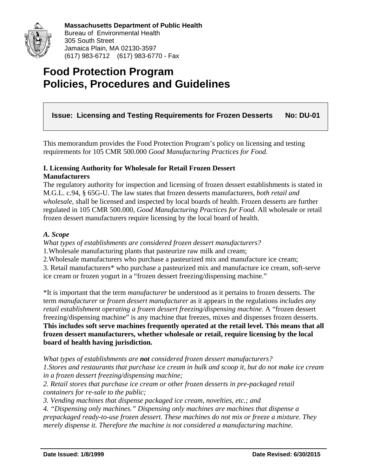

# **Food Protection Program Policies, Procedures and Guidelines**

# **Issue: Licensing and Testing Requirements for Frozen Desserts No: DU-01**

This memorandum provides the Food Protection Program's policy on licensing and testing requirements for 105 CMR 500.000 *Good Manufacturing Practices for Food.* 

#### **I. Licensing Authority for Wholesale for Retail Frozen Dessert Manufacturers**

The regulatory authority for inspection and licensing of frozen dessert establishments is stated in M.G.L. c.94, § 65G-U. The law states that frozen desserts manufacturers, *both retail and wholesale*, shall be licensed and inspected by local boards of health. Frozen desserts are further regulated in 105 CMR 500.000, *Good Manufacturing Practices for Food.* All wholesale or retail frozen dessert manufacturers require licensing by the local board of health.

#### *A. Scope*

*What types of establishments are considered frozen dessert manufacturers?* 

1.Wholesale manufacturing plants that pasteurize raw milk and cream;

2.Wholesale manufacturers who purchase a pasteurized mix and manufacture ice cream;

3. Retail manufacturers\* who purchase a pasteurized mix and manufacture ice cream, soft-serve ice cream or frozen yogurt in a "frozen dessert freezing/dispensing machine."

\*It is important that the term *manufacturer* be understood as it pertains to frozen desserts. The term *manufacturer* or *frozen dessert manufacturer* as it appears in the regulations *includes any retail establishment operating a frozen dessert freezing/dispensing machine.* A "frozen dessert freezing/dispensing machine" is any machine that freezes, mixes and dispenses frozen desserts. **This includes soft serve machines frequently operated at the retail level. This means that all frozen dessert manufacturers, whether wholesale or retail, require licensing by the local board of health having jurisdiction.** 

*What types of establishments are not considered frozen dessert manufacturers? 1.Stores and restaurants that purchase ice cream in bulk and scoop it, but do not make ice cream in a frozen dessert freezing/dispensing machine;* 

*2. Retail stores that purchase ice cream or other frozen desserts in pre-packaged retail containers for re-sale to the public;* 

*3. Vending machines that dispense packaged ice cream, novelties, etc.; and* 

*4. "Dispensing only machines." Dispensing only machines are machines that dispense a prepackaged ready-to-use frozen dessert. These machines do not mix or freeze a mixture. They merely dispense it. Therefore the machine is not considered a manufacturing machine.*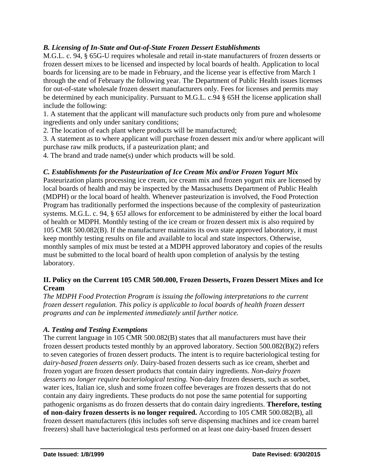## *B. Licensing of In-State and Out-of-State Frozen Dessert Establishments*

M.G.L. c. 94, § 65G-U requires wholesale and retail in-state manufacturers of frozen desserts or frozen dessert mixes to be licensed and inspected by local boards of health. Application to local boards for licensing are to be made in February, and the license year is effective from March 1 through the end of February the following year. The Department of Public Health issues licenses for out-of-state wholesale frozen dessert manufacturers only. Fees for licenses and permits may be determined by each municipality. Pursuant to M.G.L. c.94 § 65H the license application shall include the following:

1. A statement that the applicant will manufacture such products only from pure and wholesome ingredients and only under sanitary conditions;

2. The location of each plant where products will be manufactured;

3. A statement as to where applicant will purchase frozen dessert mix and/or where applicant will purchase raw milk products, if a pasteurization plant; and

4. The brand and trade name(s) under which products will be sold.

#### *C. Establishments for the Pasteurization of Ice Cream Mix and/or Frozen Yogurt Mix*

Pasteurization plants processing ice cream, ice cream mix and frozen yogurt mix are licensed by local boards of health and may be inspected by the Massachusetts Department of Public Health (MDPH) or the local board of health. Whenever pasteurization is involved, the Food Protection Program has traditionally performed the inspections because of the complexity of pasteurization systems. M.G.L. c. 94, § 65J allows for enforcement to be administered by either the local board of health or MDPH. Monthly testing of the ice cream or frozen dessert mix is also required by 105 CMR 500.082(B). If the manufacturer maintains its own state approved laboratory, it must keep monthly testing results on file and available to local and state inspectors. Otherwise, monthly samples of mix must be tested at a MDPH approved laboratory and copies of the results must be submitted to the local board of health upon completion of analysis by the testing laboratory.

#### **II. Policy on the Current 105 CMR 500.000, Frozen Desserts, Frozen Dessert Mixes and Ice Cream**

*The MDPH Food Protection Program is issuing the following interpretations to the current frozen dessert regulation. This policy is applicable to local boards of health frozen dessert programs and can be implemented immediately until further notice.* 

#### *A. Testing and Testing Exemptions*

The current language in 105 CMR 500.082(B) states that all manufacturers must have their frozen dessert products tested monthly by an approved laboratory. Section 500.082(B)(2) refers to seven categories of frozen dessert products. The intent is to require bacteriological testing for *dairy-based frozen desserts only.* Dairy-based frozen desserts such as ice cream, sherbet and frozen yogurt are frozen dessert products that contain dairy ingredients. *Non-dairy frozen desserts no longer require bacteriological testing.* Non-dairy frozen desserts, such as sorbet, water ices, Italian ice, slush and some frozen coffee beverages are frozen desserts that do not contain any dairy ingredients. These products do not pose the same potential for supporting pathogenic organisms as do frozen desserts that do contain dairy ingredients. **Therefore, testing of non-dairy frozen desserts is no longer required.** According to 105 CMR 500.082(B), all frozen dessert manufacturers (this includes soft serve dispensing machines and ice cream barrel freezers) shall have bacteriological tests performed on at least one dairy-based frozen dessert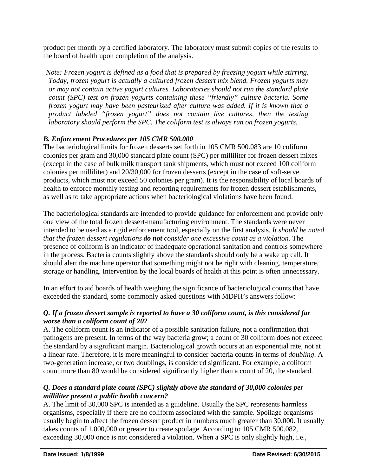product per month by a certified laboratory. The laboratory must submit copies of the results to the board of health upon completion of the analysis.

*Note: Frozen yogurt is defined as a food that is prepared by freezing yogurt while stirring. Today, frozen yogurt is actually a cultured frozen dessert mix blend. Frozen yogurts may or may not contain active yogurt cultures. Laboratories should not run the standard plate count (SPC) test on frozen yogurts containing these "friendly" culture bacteria. Some frozen yogurt may have been pasteurized after culture was added. If it is known that a product labeled "frozen yogurt" does not contain live cultures, then the testing laboratory should perform the SPC. The coliform test is always run on frozen yogurts.* 

#### *B. Enforcement Procedures per 105 CMR 500.000*

The bacteriological limits for frozen desserts set forth in 105 CMR 500.083 are 10 coliform colonies per gram and 30,000 standard plate count (SPC) per milliliter for frozen dessert mixes (except in the case of bulk milk transport tank shipments, which must not exceed 100 coliform colonies per milliliter) and 20/30,000 for frozen desserts (except in the case of soft-serve products, which must not exceed 50 colonies per gram). It is the responsibility of local boards of health to enforce monthly testing and reporting requirements for frozen dessert establishments, as well as to take appropriate actions when bacteriological violations have been found.

The bacteriological standards are intended to provide guidance for enforcement and provide only one view of the total frozen dessert-manufacturing environment. The standards were never intended to be used as a rigid enforcement tool, especially on the first analysis. *It should be noted that the frozen dessert regulations do not consider one excessive count as a violation.* The presence of coliform is an indicator of inadequate operational sanitation and controls somewhere in the process. Bacteria counts slightly above the standards should only be a wake up call. It should alert the machine operator that something might not be right with cleaning, temperature, storage or handling. Intervention by the local boards of health at this point is often unnecessary.

In an effort to aid boards of health weighing the significance of bacteriological counts that have exceeded the standard, some commonly asked questions with MDPH's answers follow:

#### *Q. If a frozen dessert sample is reported to have a 30 coliform count, is this considered far worse than a coliform count of 20?*

A. The coliform count is an indicator of a possible sanitation failure, not a confirmation that pathogens are present. In terms of the way bacteria grow; a count of 30 coliform does not exceed the standard by a significant margin. Bacteriological growth occurs at an exponential rate, not at a linear rate. Therefore, it is more meaningful to consider bacteria counts in terms of *doubling*. A two-generation increase, or two doublings, is considered significant. For example, a coliform count more than 80 would be considered significantly higher than a count of 20, the standard.

#### *Q. Does a standard plate count (SPC) slightly above the standard of 30,000 colonies per milliliter present a public health concern?*

A. The limit of 30,000 SPC is intended as a guideline. Usually the SPC represents harmless organisms, especially if there are no coliform associated with the sample. Spoilage organisms usually begin to affect the frozen dessert product in numbers much greater than 30,000. It usually takes counts of 1,000,000 or greater to create spoilage. According to 105 CMR 500.082, exceeding 30,000 once is not considered a violation. When a SPC is only slightly high, i.e.,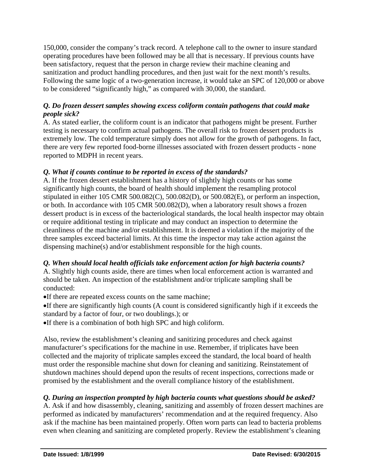150,000, consider the company's track record. A telephone call to the owner to insure standard operating procedures have been followed may be all that is necessary. If previous counts have been satisfactory, request that the person in charge review their machine cleaning and sanitization and product handling procedures, and then just wait for the next month's results. Following the same logic of a two-generation increase, it would take an SPC of 120,000 or above to be considered "significantly high," as compared with 30,000, the standard.

#### *Q. Do frozen dessert samples showing excess coliform contain pathogens that could make people sick?*

A. As stated earlier, the coliform count is an indicator that pathogens might be present. Further testing is necessary to confirm actual pathogens. The overall risk to frozen dessert products is extremely low. The cold temperature simply does not allow for the growth of pathogens. In fact, there are very few reported food-borne illnesses associated with frozen dessert products - none reported to MDPH in recent years.

## *Q. What if counts continue to be reported in excess of the standards?*

A. If the frozen dessert establishment has a history of slightly high counts or has some significantly high counts, the board of health should implement the resampling protocol stipulated in either 105 CMR 500.082(C), 500.082(D), or 500.082(E), or perform an inspection, or both. In accordance with 105 CMR 500.082(D), when a laboratory result shows a frozen dessert product is in excess of the bacteriological standards, the local health inspector may obtain or require additional testing in triplicate and may conduct an inspection to determine the cleanliness of the machine and/or establishment. It is deemed a violation if the majority of the three samples exceed bacterial limits. At this time the inspector may take action against the dispensing machine(s) and/or establishment responsible for the high counts.

## *Q. When should local health officials take enforcement action for high bacteria counts?*

A. Slightly high counts aside, there are times when local enforcement action is warranted and should be taken. An inspection of the establishment and/or triplicate sampling shall be conducted:

If there are repeated excess counts on the same machine;

If there are significantly high counts (A count is considered significantly high if it exceeds the standard by a factor of four, or two doublings.); or

If there is a combination of both high SPC and high coliform.

Also, review the establishment's cleaning and sanitizing procedures and check against manufacturer's specifications for the machine in use. Remember, if triplicates have been collected and the majority of triplicate samples exceed the standard, the local board of health must order the responsible machine shut down for cleaning and sanitizing. Reinstatement of shutdown machines should depend upon the results of recent inspections, corrections made or promised by the establishment and the overall compliance history of the establishment.

# *Q. During an inspection prompted by high bacteria counts what questions should be asked?*

A. Ask if and how disassembly, cleaning, sanitizing and assembly of frozen dessert machines are performed as indicated by manufacturers' recommendation and at the required frequency. Also ask if the machine has been maintained properly. Often worn parts can lead to bacteria problems even when cleaning and sanitizing are completed properly. Review the establishment's cleaning